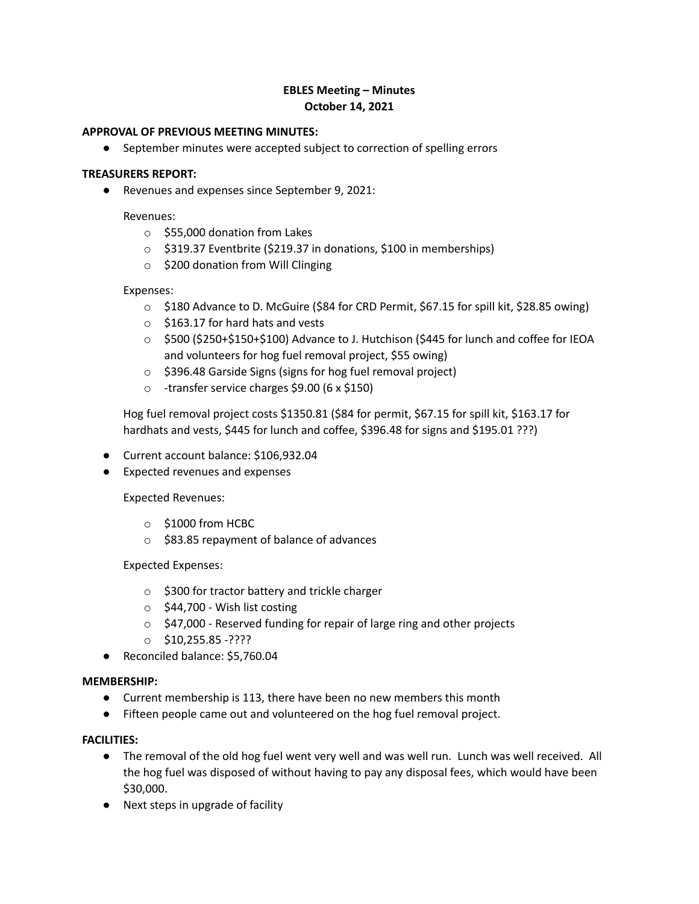# **EBLES Meeting – Minutes October 14, 2021**

#### **APPROVAL OF PREVIOUS MEETING MINUTES:**

● September minutes were accepted subject to correction of spelling errors

#### **TREASURERS REPORT:**

● Revenues and expenses since September 9, 2021:

Revenues:

- o \$55,000 donation from Lakes
- o \$319.37 Eventbrite (\$219.37 in donations, \$100 in memberships)
- o \$200 donation from Will Clinging

#### Expenses:

- o \$180 Advance to D. McGuire (\$84 for CRD Permit, \$67.15 for spill kit, \$28.85 owing)
- $\circ$  \$163.17 for hard hats and vests
- o \$500 (\$250+\$150+\$100) Advance to J. Hutchison (\$445 for lunch and coffee for IEOA and volunteers for hog fuel removal project, \$55 owing)
- o \$396.48 Garside Signs (signs for hog fuel removal project)
- o -transfer service charges \$9.00 (6 x \$150)

Hog fuel removal project costs \$1350.81 (\$84 for permit, \$67.15 for spill kit, \$163.17 for hardhats and vests, \$445 for lunch and coffee, \$396.48 for signs and \$195.01 ???)

- Current account balance: \$106,932.04
- Expected revenues and expenses

Expected Revenues:

- o \$1000 from HCBC
- o \$83.85 repayment of balance of advances

Expected Expenses:

- o \$300 for tractor battery and trickle charger
- $\circ$  \$44,700 Wish list costing
- o \$47,000 Reserved funding for repair of large ring and other projects
- o \$10,255.85 -????
- Reconciled balance: \$5,760.04

## **MEMBERSHIP:**

- Current membership is 113, there have been no new members this month
- Fifteen people came out and volunteered on the hog fuel removal project.

## **FACILITIES:**

- The removal of the old hog fuel went very well and was well run. Lunch was well received. All the hog fuel was disposed of without having to pay any disposal fees, which would have been \$30,000.
- Next steps in upgrade of facility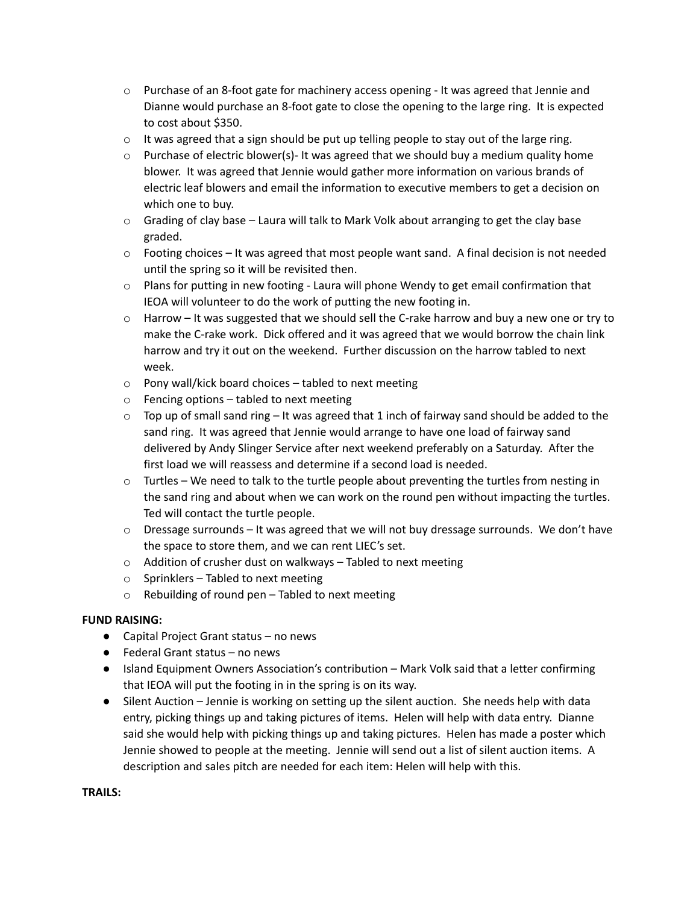- $\circ$  Purchase of an 8-foot gate for machinery access opening It was agreed that Jennie and Dianne would purchase an 8-foot gate to close the opening to the large ring. It is expected to cost about \$350.
- $\circ$  It was agreed that a sign should be put up telling people to stay out of the large ring.
- $\circ$  Purchase of electric blower(s)- It was agreed that we should buy a medium quality home blower. It was agreed that Jennie would gather more information on various brands of electric leaf blowers and email the information to executive members to get a decision on which one to buy.
- $\circ$  Grading of clay base Laura will talk to Mark Volk about arranging to get the clay base graded.
- $\circ$  Footing choices It was agreed that most people want sand. A final decision is not needed until the spring so it will be revisited then.
- $\circ$  Plans for putting in new footing Laura will phone Wendy to get email confirmation that IEOA will volunteer to do the work of putting the new footing in.
- $\circ$  Harrow It was suggested that we should sell the C-rake harrow and buy a new one or try to make the C-rake work. Dick offered and it was agreed that we would borrow the chain link harrow and try it out on the weekend. Further discussion on the harrow tabled to next week.
- o Pony wall/kick board choices tabled to next meeting
- $\circ$  Fencing options tabled to next meeting
- $\circ$  Top up of small sand ring It was agreed that 1 inch of fairway sand should be added to the sand ring. It was agreed that Jennie would arrange to have one load of fairway sand delivered by Andy Slinger Service after next weekend preferably on a Saturday. After the first load we will reassess and determine if a second load is needed.
- $\circ$  Turtles We need to talk to the turtle people about preventing the turtles from nesting in the sand ring and about when we can work on the round pen without impacting the turtles. Ted will contact the turtle people.
- $\circ$  Dressage surrounds It was agreed that we will not buy dressage surrounds. We don't have the space to store them, and we can rent LIEC's set.
- o Addition of crusher dust on walkways Tabled to next meeting
- $\circ$  Sprinklers Tabled to next meeting
- $\circ$  Rebuilding of round pen Tabled to next meeting

## **FUND RAISING:**

- Capital Project Grant status no news
- $\bullet$  Federal Grant status no news
- Island Equipment Owners Association's contribution Mark Volk said that a letter confirming that IEOA will put the footing in in the spring is on its way.
- Silent Auction Jennie is working on setting up the silent auction. She needs help with data entry, picking things up and taking pictures of items. Helen will help with data entry. Dianne said she would help with picking things up and taking pictures. Helen has made a poster which Jennie showed to people at the meeting. Jennie will send out a list of silent auction items. A description and sales pitch are needed for each item: Helen will help with this.

#### **TRAILS:**